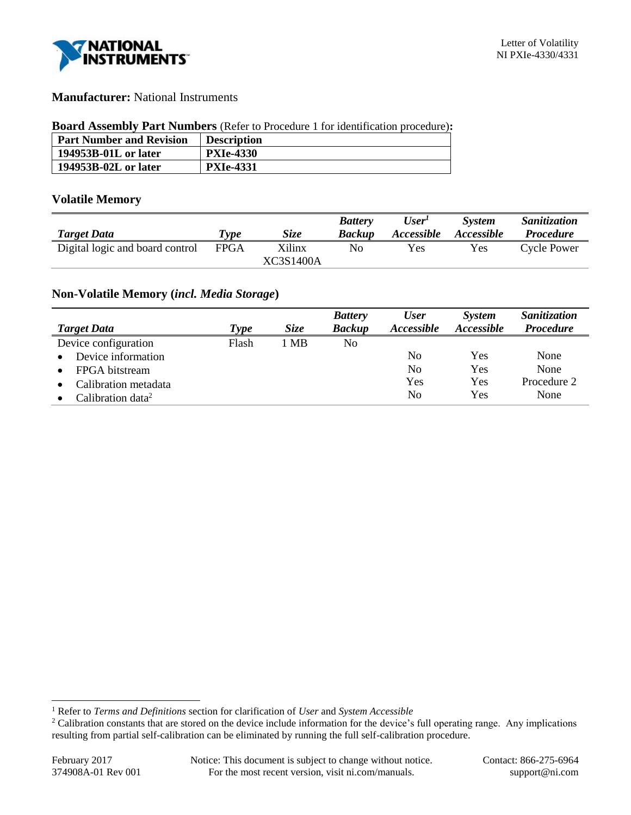

## **Manufacturer:** National Instruments

#### **Board Assembly Part Numbers** (Refer to Procedure 1 for identification procedure)**:**

| <b>Part Number and Revision</b> | <b>Description</b> |
|---------------------------------|--------------------|
| 194953B-01L or later            | <b>PXIe-4330</b>   |
| 194953B-02L or later            | <b>PXIe-4331</b>   |

## **Volatile Memory**

|                                 |              |             | <b>Battery</b> | User <sup>1</sup> | <b>System</b>     | <i>Sanitization</i> |
|---------------------------------|--------------|-------------|----------------|-------------------|-------------------|---------------------|
| <b>Target Data</b>              | <i>I</i> vpe | <i>Size</i> | Backup         | <i>Accessible</i> | <i>Accessible</i> | <i>Procedure</i>    |
| Digital logic and board control | <b>FPGA</b>  | Xilinx      | Nο             | Yes               | Yes               | <b>Cycle Power</b>  |
|                                 |              | XC3S1400A   |                |                   |                   |                     |

## **Non-Volatile Memory (***incl. Media Storage***)**

|                               |             |             | <b>Battery</b> | <b>User</b>       | <b>System</b> | Sanitization     |
|-------------------------------|-------------|-------------|----------------|-------------------|---------------|------------------|
| <b>Target Data</b>            | <b>Type</b> | <b>Size</b> | <b>Backup</b>  | <b>Accessible</b> | Accessible    | <b>Procedure</b> |
| Device configuration          | Flash       | 1 MB        | No             |                   |               |                  |
| Device information            |             |             |                | No                | Yes           | None             |
| FPGA bitstream                |             |             |                | No                | Yes           | None             |
| Calibration metadata          |             |             |                | Yes               | Yes           | Procedure 2      |
| Calibration data <sup>2</sup> |             |             |                | No                | Yes           | None             |

l

<sup>1</sup> Refer to *Terms and Definitions* section for clarification of *User* and *System Accessible*

<sup>&</sup>lt;sup>2</sup> Calibration constants that are stored on the device include information for the device's full operating range. Any implications resulting from partial self-calibration can be eliminated by running the full self-calibration procedure.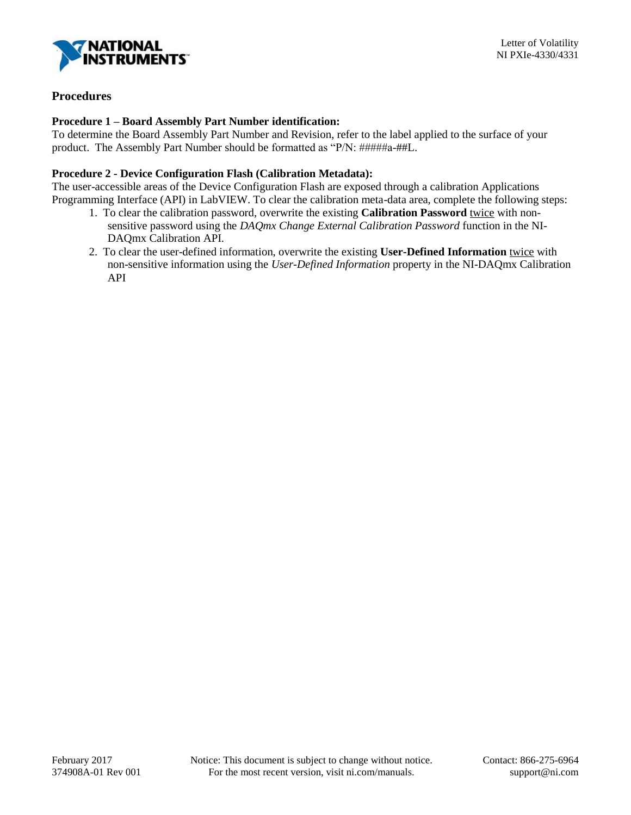

# **Procedures**

### **Procedure 1 – Board Assembly Part Number identification:**

To determine the Board Assembly Part Number and Revision, refer to the label applied to the surface of your product. The Assembly Part Number should be formatted as "P/N: #####a-##L.

### **Procedure 2 - Device Configuration Flash (Calibration Metadata):**

The user-accessible areas of the Device Configuration Flash are exposed through a calibration Applications Programming Interface (API) in LabVIEW. To clear the calibration meta-data area, complete the following steps:

- 1. To clear the calibration password, overwrite the existing **Calibration Password** twice with nonsensitive password using the *DAQmx Change External Calibration Password* function in the NI-DAQmx Calibration API.
- 2. To clear the user-defined information, overwrite the existing **User-Defined Information** twice with non-sensitive information using the *User-Defined Information* property in the NI-DAQmx Calibration API